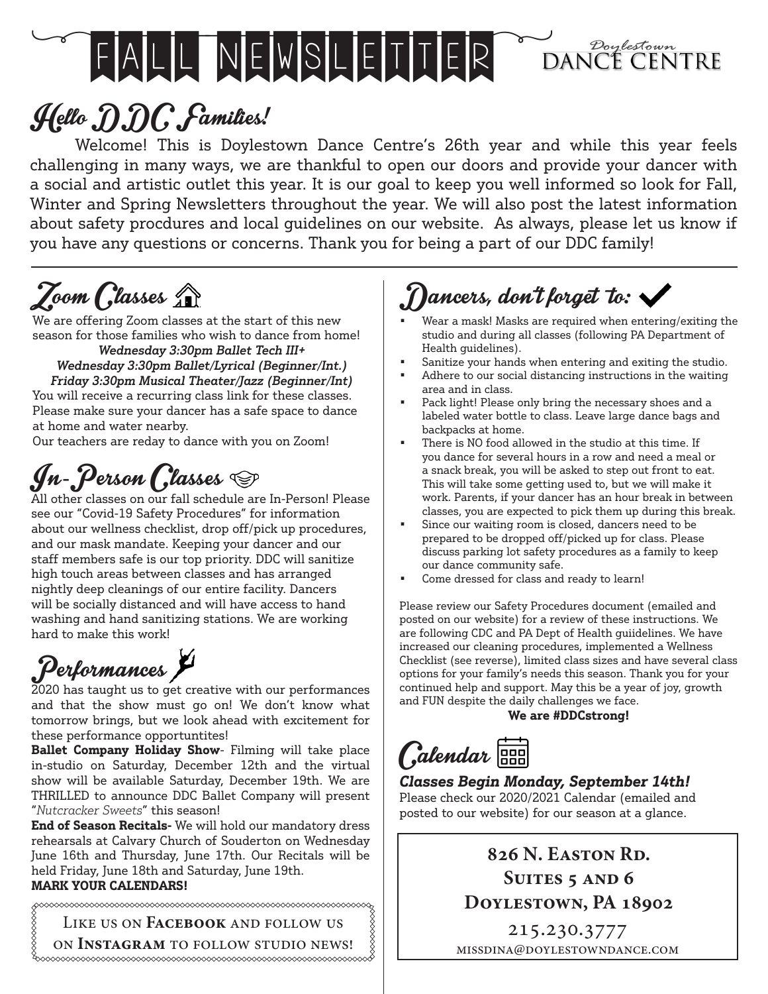# FALL NEWSLEITER DANCE CENTRE

# Hello DDC Families!

Welcome! This is Doylestown Dance Centre's 26th year and while this year feels challenging in many ways, we are thankful to open our doors and provide your dancer with a social and artistic outlet this year. It is our goal to keep you well informed so look for Fall, Winter and Spring Newsletters throughout the year. We will also post the latest information about safety procdures and local guidelines on our website. As always, please let us know if you have any questions or concerns. Thank you for being a part of our DDC family!

## Zoom Classes A

We are offering Zoom classes at the start of this new season for those families who wish to dance from home! *Wednesday 3:30pm Ballet Tech III+*

#### *Wednesday 3:30pm Ballet/Lyrical (Beginner/Int.) Friday 3:30pm Musical Theater/Jazz (Beginner/Int)*

You will receive a recurring class link for these classes. Please make sure your dancer has a safe space to dance at home and water nearby.

Our teachers are reday to dance with you on Zoom!

## $\mathcal{J}$ n-Person (Glasses  $\circledcirc$

All other classes on our fall schedule are In-Person! Please see our "Covid-19 Safety Procedures" for information about our wellness checklist, drop off/pick up procedures, and our mask mandate. Keeping your dancer and our staff members safe is our top priority. DDC will sanitize high touch areas between classes and has arranged nightly deep cleanings of our entire facility. Dancers will be socially distanced and will have access to hand washing and hand sanitizing stations. We are working hard to make this work!

# Performances

2020 has taught us to get creative with our performances and that the show must go on! We don't know what tomorrow brings, but we look ahead with excitement for these performance opportuntites!

**Ballet Company Holiday Show**- Filming will take place in-studio on Saturday, December 12th and the virtual show will be available Saturday, December 19th. We are THRILLED to announce DDC Ballet Company will present "*Nutcracker Sweets*" this season!

**End of Season Recitals-** We will hold our mandatory dress rehearsals at Calvary Church of Souderton on Wednesday June 16th and Thursday, June 17th. Our Recitals will be held Friday, June 18th and Saturday, June 19th. **MARK YOUR CALENDARS!**

Like us on **Facebook** and follow us

on **Instagram** to follow studio news! 

## )ancers, don't forget  $\boldsymbol{\tau}$ to:  $\boldsymbol{\cdot}$

- Wear a mask! Masks are required when entering/exiting the studio and during all classes (following PA Department of Health guidelines).
- Sanitize your hands when entering and exiting the studio.
- Adhere to our social distancing instructions in the waiting area and in class.
- Pack light! Please only bring the necessary shoes and a labeled water bottle to class. Leave large dance bags and backpacks at home.
- There is NO food allowed in the studio at this time. If you dance for several hours in a row and need a meal or a snack break, you will be asked to step out front to eat. This will take some getting used to, but we will make it work. Parents, if your dancer has an hour break in between classes, you are expected to pick them up during this break.
- Since our waiting room is closed, dancers need to be prepared to be dropped off/picked up for class. Please discuss parking lot safety procedures as a family to keep our dance community safe.
- Come dressed for class and ready to learn!

Please review our Safety Procedures document (emailed and posted on our website) for a review of these instructions. We are following CDC and PA Dept of Health guiidelines. We have increased our cleaning procedures, implemented a Wellness Checklist (see reverse), limited class sizes and have several class options for your family's needs this season. Thank you for your continued help and support. May this be a year of joy, growth and FUN despite the daily challenges we face.

**We are #DDCstrong!**

Calendar<sup>[888</sup>]

#### *Classes Begin Monday, September 14th!*

Please check our 2020/2021 Calendar (emailed and posted to our website) for our season at a glance.

### **826 N. Easton Rd. Suites 5 and 6 Doylestown, PA 18902**

215.230.3777 missdina@doylestowndance.com